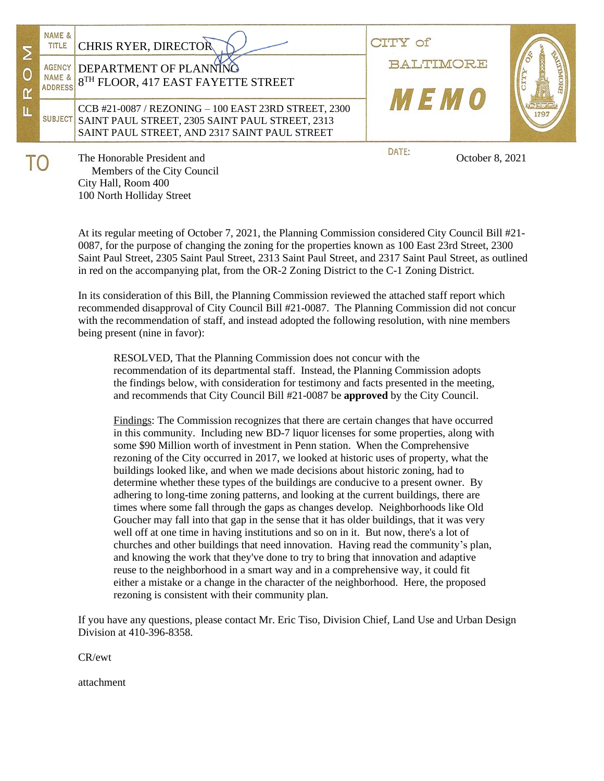|  | NAME &<br>TITLE<br><b>AGENCY</b><br>NAME & | <b>CHRIS RYER, DIRECTOR</b><br>DEPARTMENT OF PLANNING<br>8TH FLOOR, 417 EAST FAYETTE STREET                                                                      | $\bigcirc$ f<br>BALTIMORE |  |
|--|--------------------------------------------|------------------------------------------------------------------------------------------------------------------------------------------------------------------|---------------------------|--|
|  | <b>ADDRESS</b>                             | CCB #21-0087 / REZONING - 100 EAST 23RD STREET, 2300<br>SUBJECT SAINT PAUL STREET, 2305 SAINT PAUL STREET, 2313<br>SAINT PAUL STREET, AND 2317 SAINT PAUL STREET | $\mathbf{F}$ $\mathbf{u}$ |  |
|  |                                            | The Honorable President and<br>$M_{\odot}$ and $\ddot{M}_{\odot}$ and $\ddot{M}_{\odot}$ and $\ddot{M}_{\odot}$ and $\ddot{M}_{\odot}$                           | DATE:<br>October 8, 2021  |  |

 Members of the City Council City Hall, Room 400 100 North Holliday Street

At its regular meeting of October 7, 2021, the Planning Commission considered City Council Bill #21- 0087, for the purpose of changing the zoning for the properties known as 100 East 23rd Street, 2300 Saint Paul Street, 2305 Saint Paul Street, 2313 Saint Paul Street, and 2317 Saint Paul Street, as outlined in red on the accompanying plat, from the OR-2 Zoning District to the C-1 Zoning District.

In its consideration of this Bill, the Planning Commission reviewed the attached staff report which recommended disapproval of City Council Bill #21-0087. The Planning Commission did not concur with the recommendation of staff, and instead adopted the following resolution, with nine members being present (nine in favor):

RESOLVED, That the Planning Commission does not concur with the recommendation of its departmental staff. Instead, the Planning Commission adopts the findings below, with consideration for testimony and facts presented in the meeting, and recommends that City Council Bill #21-0087 be **approved** by the City Council.

Findings: The Commission recognizes that there are certain changes that have occurred in this community. Including new BD-7 liquor licenses for some properties, along with some \$90 Million worth of investment in Penn station. When the Comprehensive rezoning of the City occurred in 2017, we looked at historic uses of property, what the buildings looked like, and when we made decisions about historic zoning, had to determine whether these types of the buildings are conducive to a present owner. By adhering to long-time zoning patterns, and looking at the current buildings, there are times where some fall through the gaps as changes develop. Neighborhoods like Old Goucher may fall into that gap in the sense that it has older buildings, that it was very well off at one time in having institutions and so on in it. But now, there's a lot of churches and other buildings that need innovation. Having read the community's plan, and knowing the work that they've done to try to bring that innovation and adaptive reuse to the neighborhood in a smart way and in a comprehensive way, it could fit either a mistake or a change in the character of the neighborhood. Here, the proposed rezoning is consistent with their community plan.

If you have any questions, please contact Mr. Eric Tiso, Division Chief, Land Use and Urban Design Division at 410-396-8358.

CR/ewt

attachment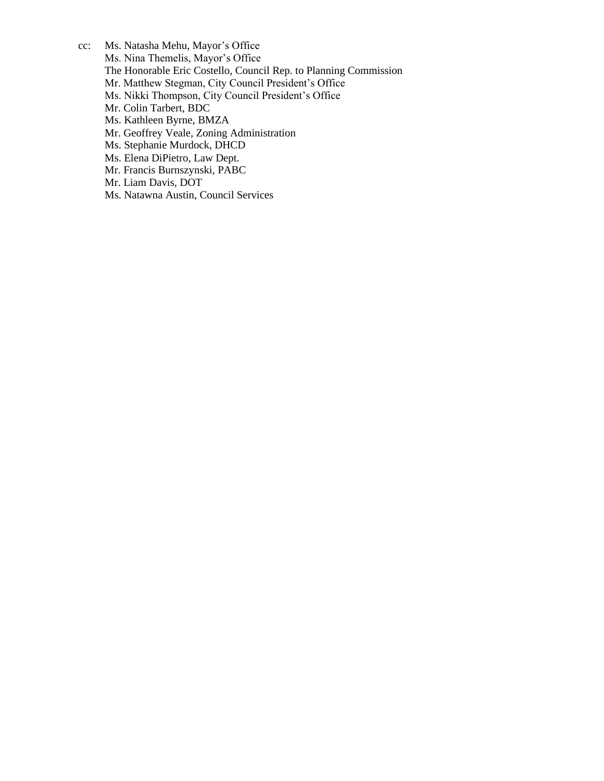cc: Ms. Natasha Mehu, Mayor's Office Ms. Nina Themelis, Mayor's Office The Honorable Eric Costello, Council Rep. to Planning Commission Mr. Matthew Stegman, City Council President's Office Ms. Nikki Thompson, City Council President's Office Mr. Colin Tarbert, BDC Ms. Kathleen Byrne, BMZA Mr. Geoffrey Veale, Zoning Administration Ms. Stephanie Murdock, DHCD Ms. Elena DiPietro, Law Dept. Mr. Francis Burnszynski, PABC Mr. Liam Davis, DOT

Ms. Natawna Austin, Council Services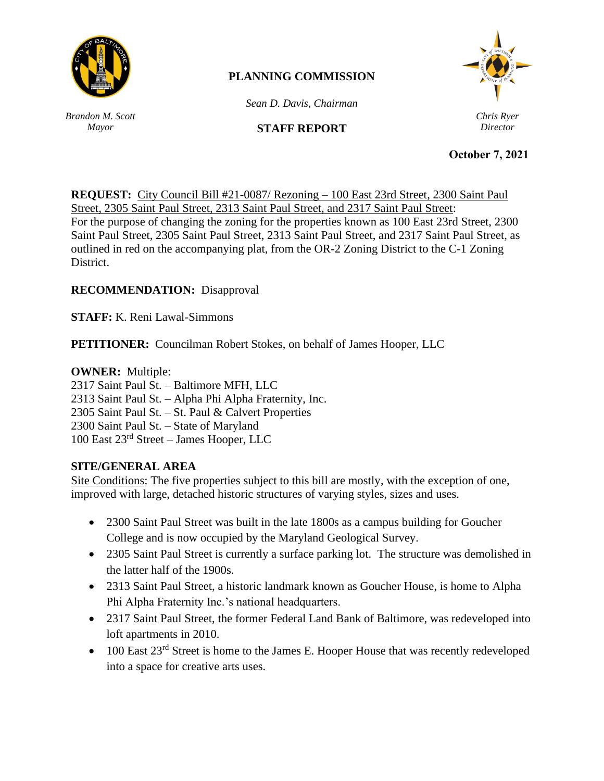

# **PLANNING COMMISSION**

*Sean D. Davis, Chairman*

## **STAFF REPORT**

*Chris Ryer Director*

*Brandon M. Scott Mayor*

**September 16, 2021 October 7, 2021**

**REQUEST:** City Council Bill #21-0087/ Rezoning – 100 East 23rd Street, 2300 Saint Paul Street, 2305 Saint Paul Street, 2313 Saint Paul Street, and 2317 Saint Paul Street: For the purpose of changing the zoning for the properties known as 100 East 23rd Street, 2300 Saint Paul Street, 2305 Saint Paul Street, 2313 Saint Paul Street, and 2317 Saint Paul Street, as outlined in red on the accompanying plat, from the OR-2 Zoning District to the C-1 Zoning District.

# **RECOMMENDATION:** Disapproval

**STAFF:** K. Reni Lawal-Simmons

**PETITIONER:** Councilman Robert Stokes, on behalf of James Hooper, LLC

#### **OWNER:** Multiple:

2317 Saint Paul St. – Baltimore MFH, LLC 2313 Saint Paul St. – Alpha Phi Alpha Fraternity, Inc. 2305 Saint Paul St. – St. Paul & Calvert Properties 2300 Saint Paul St. – State of Maryland 100 East 23rd Street – James Hooper, LLC

### **SITE/GENERAL AREA**

Site Conditions: The five properties subject to this bill are mostly, with the exception of one, improved with large, detached historic structures of varying styles, sizes and uses.

- 2300 Saint Paul Street was built in the late 1800s as a campus building for Goucher College and is now occupied by the Maryland Geological Survey.
- 2305 Saint Paul Street is currently a surface parking lot. The structure was demolished in the latter half of the 1900s.
- 2313 Saint Paul Street, a historic landmark known as Goucher House, is home to Alpha Phi Alpha Fraternity Inc.'s national headquarters.
- 2317 Saint Paul Street, the former Federal Land Bank of Baltimore, was redeveloped into loft apartments in 2010.
- $\bullet$  100 East 23<sup>rd</sup> Street is home to the James E. Hooper House that was recently redeveloped into a space for creative arts uses.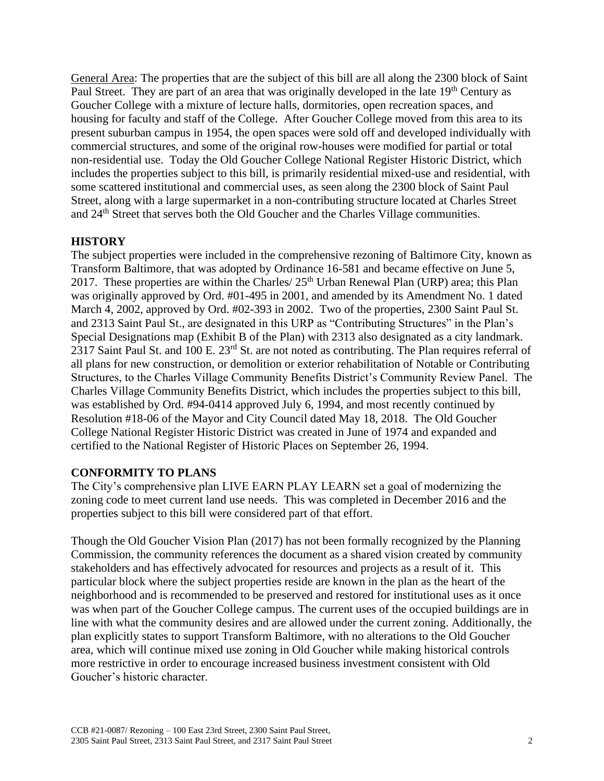General Area: The properties that are the subject of this bill are all along the 2300 block of Saint Paul Street. They are part of an area that was originally developed in the late 19<sup>th</sup> Century as Goucher College with a mixture of lecture halls, dormitories, open recreation spaces, and housing for faculty and staff of the College. After Goucher College moved from this area to its present suburban campus in 1954, the open spaces were sold off and developed individually with commercial structures, and some of the original row-houses were modified for partial or total non-residential use. Today the Old Goucher College National Register Historic District, which includes the properties subject to this bill, is primarily residential mixed-use and residential, with some scattered institutional and commercial uses, as seen along the 2300 block of Saint Paul Street, along with a large supermarket in a non-contributing structure located at Charles Street and 24<sup>th</sup> Street that serves both the Old Goucher and the Charles Village communities.

#### **HISTORY**

The subject properties were included in the comprehensive rezoning of Baltimore City, known as Transform Baltimore, that was adopted by Ordinance 16-581 and became effective on June 5, 2017. These properties are within the Charles/  $25<sup>th</sup>$  Urban Renewal Plan (URP) area; this Plan was originally approved by Ord. #01-495 in 2001, and amended by its Amendment No. 1 dated March 4, 2002, approved by Ord. #02-393 in 2002. Two of the properties, 2300 Saint Paul St. and 2313 Saint Paul St., are designated in this URP as "Contributing Structures" in the Plan's Special Designations map (Exhibit B of the Plan) with 2313 also designated as a city landmark. 2317 Saint Paul St. and 100 E. 23<sup>rd</sup> St. are not noted as contributing. The Plan requires referral of all plans for new construction, or demolition or exterior rehabilitation of Notable or Contributing Structures, to the Charles Village Community Benefits District's Community Review Panel. The Charles Village Community Benefits District, which includes the properties subject to this bill, was established by Ord. #94-0414 approved July 6, 1994, and most recently continued by Resolution #18-06 of the Mayor and City Council dated May 18, 2018. The Old Goucher College National Register Historic District was created in June of 1974 and expanded and certified to the National Register of Historic Places on September 26, 1994.

#### **CONFORMITY TO PLANS**

The City's comprehensive plan LIVE EARN PLAY LEARN set a goal of modernizing the zoning code to meet current land use needs. This was completed in December 2016 and the properties subject to this bill were considered part of that effort.

Though the Old Goucher Vision Plan (2017) has not been formally recognized by the Planning Commission, the community references the document as a shared vision created by community stakeholders and has effectively advocated for resources and projects as a result of it. This particular block where the subject properties reside are known in the plan as the heart of the neighborhood and is recommended to be preserved and restored for institutional uses as it once was when part of the Goucher College campus. The current uses of the occupied buildings are in line with what the community desires and are allowed under the current zoning. Additionally, the plan explicitly states to support Transform Baltimore, with no alterations to the Old Goucher area, which will continue mixed use zoning in Old Goucher while making historical controls more restrictive in order to encourage increased business investment consistent with Old Goucher's historic character.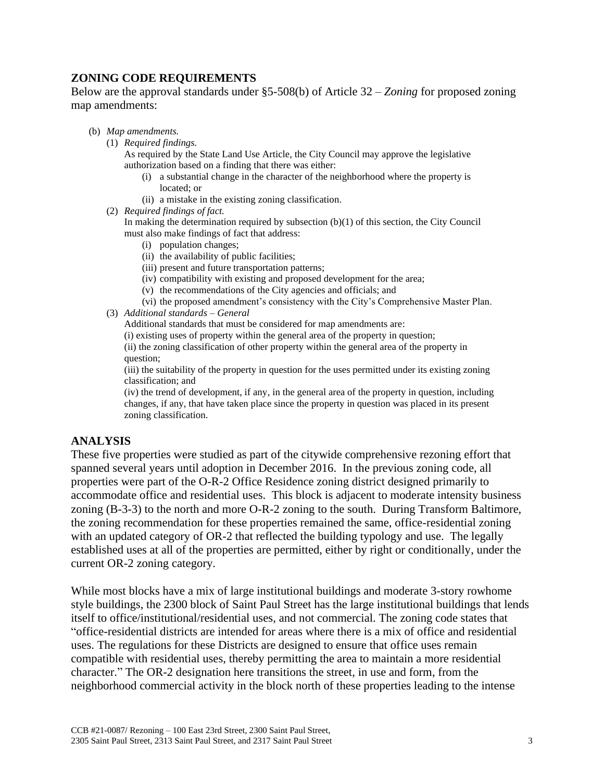## **ZONING CODE REQUIREMENTS**

Below are the approval standards under §5-508(b) of Article 32 – *Zoning* for proposed zoning map amendments:

- (b) *Map amendments.*
	- (1) *Required findings.*

As required by the State Land Use Article, the City Council may approve the legislative authorization based on a finding that there was either:

- (i) a substantial change in the character of the neighborhood where the property is located; or
- (ii) a mistake in the existing zoning classification.
- (2) *Required findings of fact.*

In making the determination required by subsection (b)(1) of this section, the City Council must also make findings of fact that address:

- (i) population changes;
- (ii) the availability of public facilities;
- (iii) present and future transportation patterns;
- (iv) compatibility with existing and proposed development for the area;
- (v) the recommendations of the City agencies and officials; and
- (vi) the proposed amendment's consistency with the City's Comprehensive Master Plan.
- (3) *Additional standards – General*

Additional standards that must be considered for map amendments are:

(i) existing uses of property within the general area of the property in question;

(ii) the zoning classification of other property within the general area of the property in question;

(iii) the suitability of the property in question for the uses permitted under its existing zoning classification; and

(iv) the trend of development, if any, in the general area of the property in question, including changes, if any, that have taken place since the property in question was placed in its present zoning classification.

#### **ANALYSIS**

These five properties were studied as part of the citywide comprehensive rezoning effort that spanned several years until adoption in December 2016. In the previous zoning code, all properties were part of the O-R-2 Office Residence zoning district designed primarily to accommodate office and residential uses. This block is adjacent to moderate intensity business zoning (B-3-3) to the north and more O-R-2 zoning to the south. During Transform Baltimore, the zoning recommendation for these properties remained the same, office-residential zoning with an updated category of OR-2 that reflected the building typology and use. The legally established uses at all of the properties are permitted, either by right or conditionally, under the current OR-2 zoning category.

While most blocks have a mix of large institutional buildings and moderate 3-story rowhome style buildings, the 2300 block of Saint Paul Street has the large institutional buildings that lends itself to office/institutional/residential uses, and not commercial. The zoning code states that "office-residential districts are intended for areas where there is a mix of office and residential uses. The regulations for these Districts are designed to ensure that office uses remain compatible with residential uses, thereby permitting the area to maintain a more residential character." The OR-2 designation here transitions the street, in use and form, from the neighborhood commercial activity in the block north of these properties leading to the intense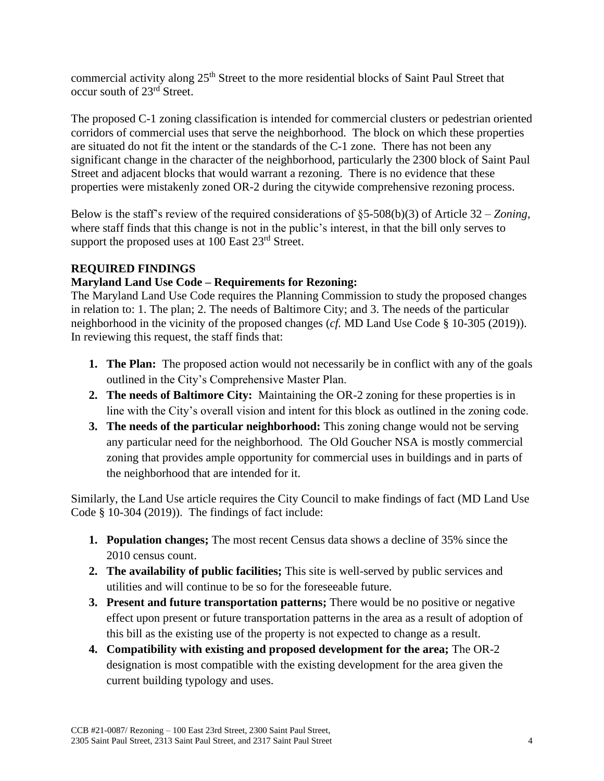commercial activity along 25<sup>th</sup> Street to the more residential blocks of Saint Paul Street that occur south of 23rd Street.

The proposed C-1 zoning classification is intended for commercial clusters or pedestrian oriented corridors of commercial uses that serve the neighborhood. The block on which these properties are situated do not fit the intent or the standards of the C-1 zone. There has not been any significant change in the character of the neighborhood, particularly the 2300 block of Saint Paul Street and adjacent blocks that would warrant a rezoning. There is no evidence that these properties were mistakenly zoned OR-2 during the citywide comprehensive rezoning process.

Below is the staff's review of the required considerations of §5-508(b)(3) of Article 32 – *Zoning*, where staff finds that this change is not in the public's interest, in that the bill only serves to support the proposed uses at 100 East 23<sup>rd</sup> Street.

### **REQUIRED FINDINGS**

### **Maryland Land Use Code – Requirements for Rezoning:**

The Maryland Land Use Code requires the Planning Commission to study the proposed changes in relation to: 1. The plan; 2. The needs of Baltimore City; and 3. The needs of the particular neighborhood in the vicinity of the proposed changes (*cf.* MD Land Use Code § 10-305 (2019)). In reviewing this request, the staff finds that:

- **1. The Plan:** The proposed action would not necessarily be in conflict with any of the goals outlined in the City's Comprehensive Master Plan.
- **2. The needs of Baltimore City:** Maintaining the OR-2 zoning for these properties is in line with the City's overall vision and intent for this block as outlined in the zoning code.
- **3. The needs of the particular neighborhood:** This zoning change would not be serving any particular need for the neighborhood. The Old Goucher NSA is mostly commercial zoning that provides ample opportunity for commercial uses in buildings and in parts of the neighborhood that are intended for it.

Similarly, the Land Use article requires the City Council to make findings of fact (MD Land Use Code § 10-304 (2019)). The findings of fact include:

- **1. Population changes;** The most recent Census data shows a decline of 35% since the 2010 census count.
- **2. The availability of public facilities;** This site is well-served by public services and utilities and will continue to be so for the foreseeable future.
- **3. Present and future transportation patterns;** There would be no positive or negative effect upon present or future transportation patterns in the area as a result of adoption of this bill as the existing use of the property is not expected to change as a result.
- **4. Compatibility with existing and proposed development for the area;** The OR-2 designation is most compatible with the existing development for the area given the current building typology and uses.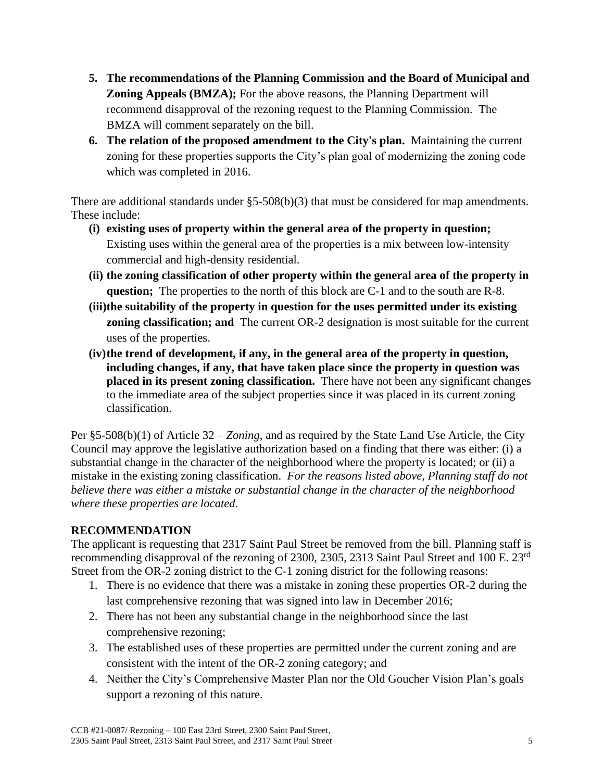- **5. The recommendations of the Planning Commission and the Board of Municipal and Zoning Appeals (BMZA);** For the above reasons, the Planning Department will recommend disapproval of the rezoning request to the Planning Commission. The BMZA will comment separately on the bill.
- **6. The relation of the proposed amendment to the City's plan.** Maintaining the current zoning for these properties supports the City's plan goal of modernizing the zoning code which was completed in 2016.

There are additional standards under  $\S5-508(b)(3)$  that must be considered for map amendments. These include:

- **(i) existing uses of property within the general area of the property in question;** Existing uses within the general area of the properties is a mix between low-intensity commercial and high-density residential.
- **(ii) the zoning classification of other property within the general area of the property in question;** The properties to the north of this block are C-1 and to the south are R-8.
- **(iii)the suitability of the property in question for the uses permitted under its existing zoning classification; and** The current OR-2 designation is most suitable for the current uses of the properties.
- **(iv)the trend of development, if any, in the general area of the property in question, including changes, if any, that have taken place since the property in question was placed in its present zoning classification.** There have not been any significant changes to the immediate area of the subject properties since it was placed in its current zoning classification.

Per §5-508(b)(1) of Article 32 – *Zoning*, and as required by the State Land Use Article, the City Council may approve the legislative authorization based on a finding that there was either: (i) a substantial change in the character of the neighborhood where the property is located; or (ii) a mistake in the existing zoning classification. *For the reasons listed above, Planning staff do not believe there was either a mistake or substantial change in the character of the neighborhood where these properties are located.* 

### **RECOMMENDATION**

The applicant is requesting that 2317 Saint Paul Street be removed from the bill. Planning staff is recommending disapproval of the rezoning of 2300, 2305, 2313 Saint Paul Street and 100 E. 23rd Street from the OR-2 zoning district to the C-1 zoning district for the following reasons:

- 1. There is no evidence that there was a mistake in zoning these properties OR-2 during the last comprehensive rezoning that was signed into law in December 2016;
- 2. There has not been any substantial change in the neighborhood since the last comprehensive rezoning;
- 3. The established uses of these properties are permitted under the current zoning and are consistent with the intent of the OR-2 zoning category; and
- 4. Neither the City's Comprehensive Master Plan nor the Old Goucher Vision Plan's goals support a rezoning of this nature.